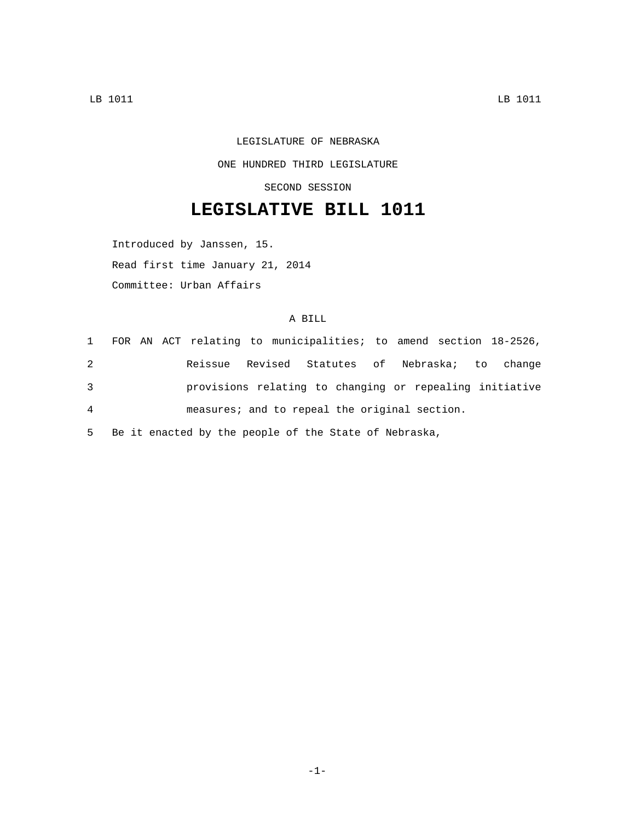## LEGISLATURE OF NEBRASKA ONE HUNDRED THIRD LEGISLATURE SECOND SESSION

## **LEGISLATIVE BILL 1011**

Introduced by Janssen, 15. Read first time January 21, 2014 Committee: Urban Affairs

## A BILL

|   |  |  |  | 1 FOR AN ACT relating to municipalities; to amend section 18-2526, |  |  |  |
|---|--|--|--|--------------------------------------------------------------------|--|--|--|
| 2 |  |  |  | Reissue Revised Statutes of Nebraska; to change                    |  |  |  |
| 3 |  |  |  | provisions relating to changing or repealing initiative            |  |  |  |
| 4 |  |  |  | measures; and to repeal the original section.                      |  |  |  |

5 Be it enacted by the people of the State of Nebraska,